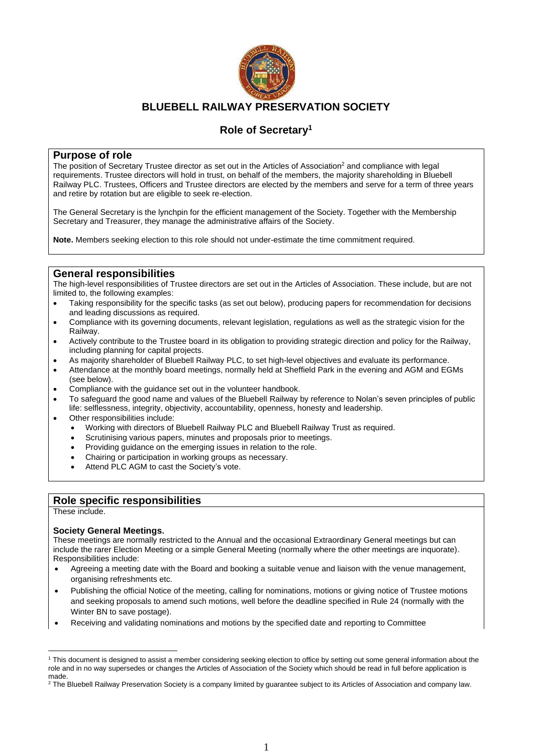

# **BLUEBELL RAILWAY PRESERVATION SOCIETY**

# **Role of Secretary<sup>1</sup>**

#### **Purpose of role**

The position of Secretary Trustee director as set out in the Articles of Association<sup>2</sup> and compliance with legal requirements. Trustee directors will hold in trust, on behalf of the members, the majority shareholding in Bluebell Railway PLC. Trustees, Officers and Trustee directors are elected by the members and serve for a term of three years and retire by rotation but are eligible to seek re-election.

The General Secretary is the lynchpin for the efficient management of the Society. Together with the Membership Secretary and Treasurer, they manage the administrative affairs of the Society.

**Note.** Members seeking election to this role should not under-estimate the time commitment required.

### **General responsibilities**

The high-level responsibilities of Trustee directors are set out in the Articles of Association. These include, but are not limited to, the following examples:

- Taking responsibility for the specific tasks (as set out below), producing papers for recommendation for decisions and leading discussions as required.
- Compliance with its governing documents, relevant legislation, regulations as well as the strategic vision for the Railway.
- Actively contribute to the Trustee board in its obligation to providing strategic direction and policy for the Railway, including planning for capital projects.
- As majority shareholder of Bluebell Railway PLC, to set high-level objectives and evaluate its performance.
- Attendance at the monthly board meetings, normally held at Sheffield Park in the evening and AGM and EGMs (see below).
- Compliance with the guidance set out in the volunteer handbook.
- To safeguard the good name and values of the Bluebell Railway by reference to Nolan's seven principles of public life: selflessness, integrity, objectivity, accountability, openness, honesty and leadership.
- Other responsibilities include:
	- Working with directors of Bluebell Railway PLC and Bluebell Railway Trust as required.
	- Scrutinising various papers, minutes and proposals prior to meetings.
	- Providing guidance on the emerging issues in relation to the role.
	- Chairing or participation in working groups as necessary.
	- Attend PLC AGM to cast the Society's vote.

## **Role specific responsibilities**

These include.

#### **Society General Meetings.**

These meetings are normally restricted to the Annual and the occasional Extraordinary General meetings but can include the rarer Election Meeting or a simple General Meeting (normally where the other meetings are inquorate). Responsibilities include:

- Agreeing a meeting date with the Board and booking a suitable venue and liaison with the venue management, organising refreshments etc.
- Publishing the official Notice of the meeting, calling for nominations, motions or giving notice of Trustee motions and seeking proposals to amend such motions, well before the deadline specified in Rule 24 (normally with the Winter BN to save postage).
- Receiving and validating nominations and motions by the specified date and reporting to Committee

<sup>&</sup>lt;sup>1</sup> This document is designed to assist a member considering seeking election to office by setting out some general information about the role and in no way supersedes or changes the Articles of Association of the Society which should be read in full before application is made.

<sup>&</sup>lt;sup>2</sup> The Bluebell Railway Preservation Society is a company limited by guarantee subject to its Articles of Association and company law.